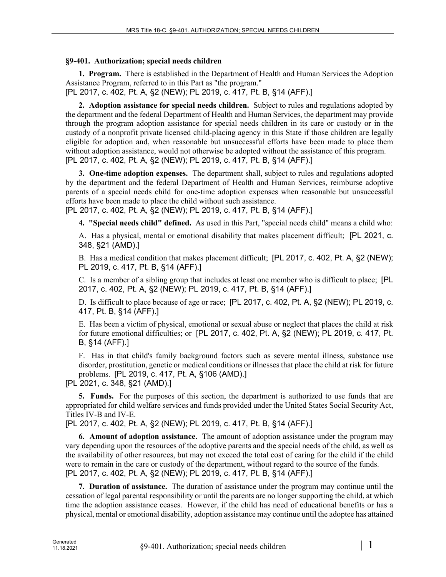## **§9-401. Authorization; special needs children**

**1. Program.** There is established in the Department of Health and Human Services the Adoption Assistance Program, referred to in this Part as "the program."

[PL 2017, c. 402, Pt. A, §2 (NEW); PL 2019, c. 417, Pt. B, §14 (AFF).]

**2. Adoption assistance for special needs children.** Subject to rules and regulations adopted by the department and the federal Department of Health and Human Services, the department may provide through the program adoption assistance for special needs children in its care or custody or in the custody of a nonprofit private licensed child-placing agency in this State if those children are legally eligible for adoption and, when reasonable but unsuccessful efforts have been made to place them without adoption assistance, would not otherwise be adopted without the assistance of this program. [PL 2017, c. 402, Pt. A, §2 (NEW); PL 2019, c. 417, Pt. B, §14 (AFF).]

**3. One-time adoption expenses.** The department shall, subject to rules and regulations adopted by the department and the federal Department of Health and Human Services, reimburse adoptive parents of a special needs child for one-time adoption expenses when reasonable but unsuccessful efforts have been made to place the child without such assistance.

[PL 2017, c. 402, Pt. A, §2 (NEW); PL 2019, c. 417, Pt. B, §14 (AFF).]

**4. "Special needs child" defined.** As used in this Part, "special needs child" means a child who:

A. Has a physical, mental or emotional disability that makes placement difficult; [PL 2021, c. 348, §21 (AMD).]

B. Has a medical condition that makes placement difficult; [PL 2017, c. 402, Pt. A, §2 (NEW); PL 2019, c. 417, Pt. B, §14 (AFF).]

C. Is a member of a sibling group that includes at least one member who is difficult to place; [PL 2017, c. 402, Pt. A, §2 (NEW); PL 2019, c. 417, Pt. B, §14 (AFF).]

D. Is difficult to place because of age or race; [PL 2017, c. 402, Pt. A, §2 (NEW); PL 2019, c. 417, Pt. B, §14 (AFF).]

E. Has been a victim of physical, emotional or sexual abuse or neglect that places the child at risk for future emotional difficulties; or [PL 2017, c. 402, Pt. A, §2 (NEW); PL 2019, c. 417, Pt. B, §14 (AFF).]

F. Has in that child's family background factors such as severe mental illness, substance use disorder, prostitution, genetic or medical conditions or illnesses that place the child at risk for future problems. [PL 2019, c. 417, Pt. A, §106 (AMD).]

[PL 2021, c. 348, §21 (AMD).]

**5. Funds.** For the purposes of this section, the department is authorized to use funds that are appropriated for child welfare services and funds provided under the United States Social Security Act, Titles IV-B and IV-E.

[PL 2017, c. 402, Pt. A, §2 (NEW); PL 2019, c. 417, Pt. B, §14 (AFF).]

**6. Amount of adoption assistance.** The amount of adoption assistance under the program may vary depending upon the resources of the adoptive parents and the special needs of the child, as well as the availability of other resources, but may not exceed the total cost of caring for the child if the child were to remain in the care or custody of the department, without regard to the source of the funds. [PL 2017, c. 402, Pt. A, §2 (NEW); PL 2019, c. 417, Pt. B, §14 (AFF).]

**7. Duration of assistance.** The duration of assistance under the program may continue until the cessation of legal parental responsibility or until the parents are no longer supporting the child, at which time the adoption assistance ceases. However, if the child has need of educational benefits or has a physical, mental or emotional disability, adoption assistance may continue until the adoptee has attained